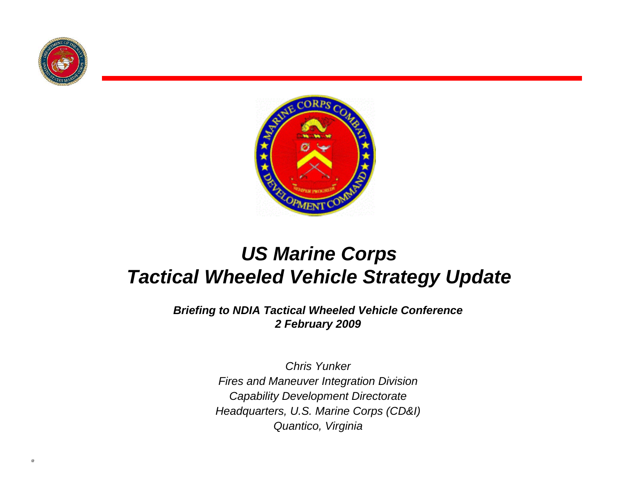



#### *US Marine Corps Tactical Wheeled Vehicle Strategy Update*

*Briefing to NDIA Tactical Wheeled Vehicle Conference 2 February 2009*

> *Chris YunkerFires and Maneuver Integration Division Capability Development Directorate Headquarters, U.S. Marine Corps (CD&I) Quantico, Virginia*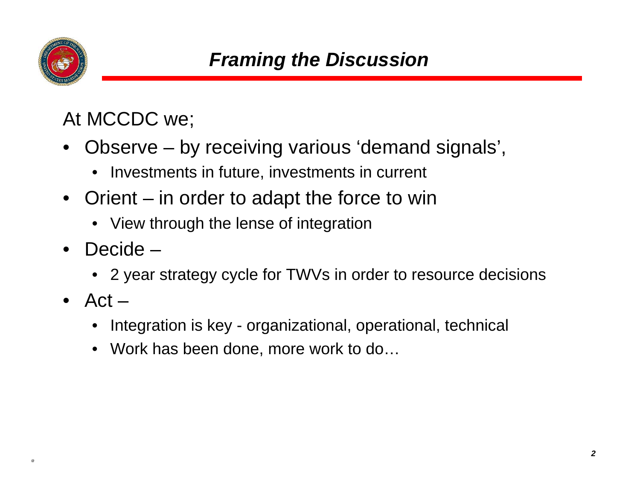

At MCCDC we;

- Observe by receiving various 'demand signals',
	- Investments in future, investments in current
- Orient in order to adapt the force to win
	- View through the lense of integration
- Decide
	- 2 year strategy cycle for TWVs in order to resource decisions
- Act  $-$ 
	- Integration is key organizational, operational, technical
	- Work has been done, more work to do...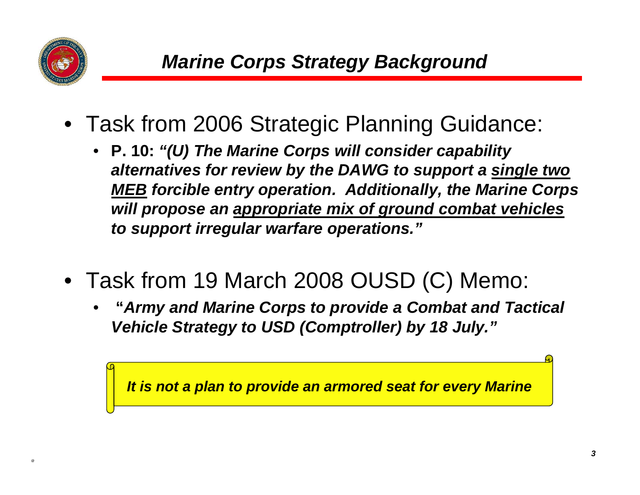

- Task from 2006 Strategic Planning Guidance:
	- **P. 10:** *"(U) The Marine Corps will consider capability alternatives for review by the DAWG to support a single two MEB forcible entry operation. Additionally, the Marine Corps will propose an appropriate mix of ground combat vehicles to support irregular warfare operations."*
- Task from 19 March 2008 OUSD (C) Memo:
	- **"***Army and Marine Corps to provide a Combat and Tactical Vehicle Strategy to USD (Comptroller) by 18 July."*

*It is not a plan to provide an armored seat for every Marine*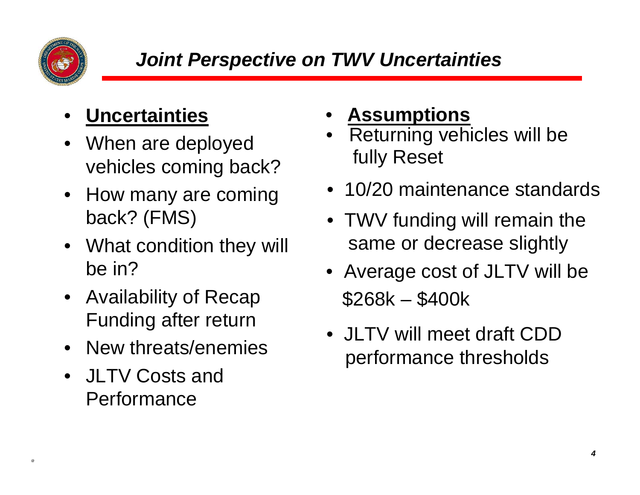

## • **Uncertainties**

- When are deployed vehicles coming back?
- How many are coming back? (FMS)
- What condition they will be in?
- Availability of Recap Funding after return
- New threats/enemies
- JLTV Costs and **Performance**
- **Assumptions**
- •Returning vehicles will be fully Reset
- 10/20 maintenance standards
- TWV funding will remain the same or decrease slightly
- Average cost of JLTV will be \$268k – \$400k
- JLTV will meet draft CDD performance thresholds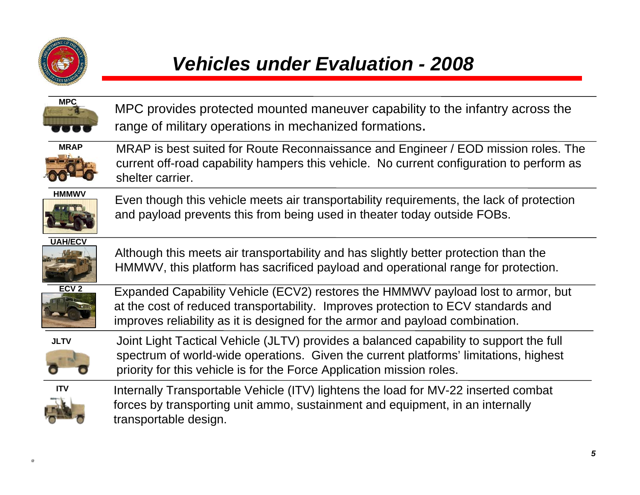

#### *Vehicles under Evaluation - 2008*



MPC provides protected mounted maneuver capability to the infantry across the range of military operations in mechanized formations.



 MRAP is best suited for Route Reconnaissance and Engineer / EOD mission roles. The current off-road capability hampers this vehicle. No current configuration to perform as shelter carrier.



 Even though this vehicle meets air transportability requirements, the lack of protection and payload prevents this from being used in theater today outside FOBs.

**UAH/ECV**



Although this meets air transportability and has slightly better protection than the HMMWV, this platform has sacrificed payload and operational range for protection.



 Expanded Capability Vehicle (ECV2) restores the HMMWV payload lost to armor, but at the cost of reduced transportability. Improves protection to ECV standards and improves reliability as it is designed for the armor and payload combination.

**JLTV**



Joint Light Tactical Vehicle (JLTV) provides a balanced capability to support the full spectrum of world-wide operations. Given the current platforms' limitations, highest priority for this vehicle is for the Force Application mission roles.



Internally Transportable Vehicle (ITV) lightens the load for MV-22 inserted combat forces by transporting unit ammo, sustainment and equipment, in an internally transportable design.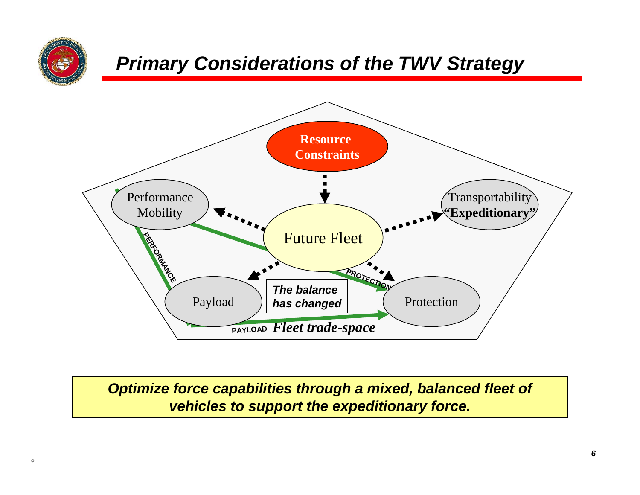

#### *Primary Considerations of the TWV Strategy*



*Optimize force capabilities through a mixed, balanced fleet of vehicles to support the expeditionary force.*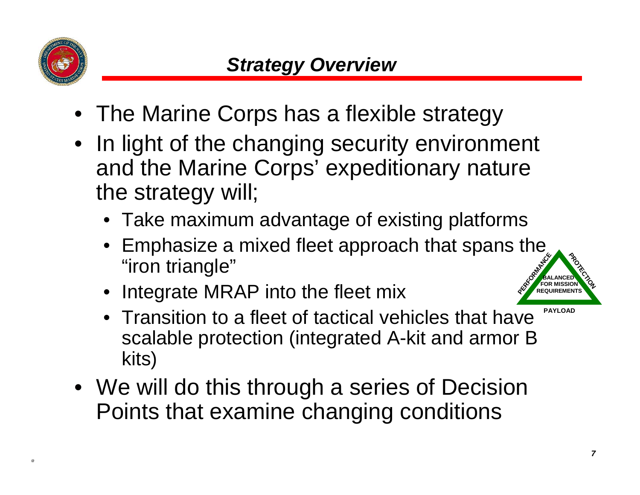

- The Marine Corps has a flexible strategy
- In light of the changing security environment and the Marine Corps' expeditionary nature the strategy will;
	- Take maximum advantage of existing platforms
	- Emphasize a mixed fleet approach that spans the "iron triangle"
	- Integrate MRAP into the fleet mix



- Transition to a fleet of tactical vehicles that have scalable protection (integrated A-kit and armor B kits)
- We will do this through a series of Decision Points that examine changing conditions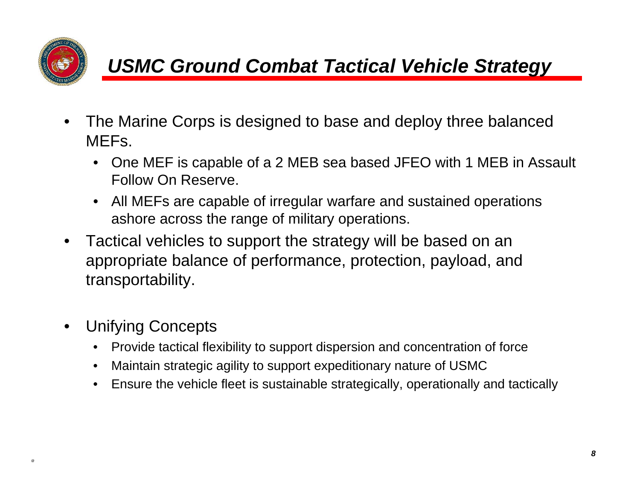

### *USMC Ground Combat Tactical Vehicle Strategy*

- The Marine Corps is designed to base and deploy three balanced MEFs.
	- One MEF is capable of a 2 MEB sea based JFEO with 1 MEB in Assault Follow On Reserve.
	- All MEFs are capable of irregular warfare and sustained operations ashore across the range of military operations.
- Tactical vehicles to support the strategy will be based on an appropriate balance of performance, protection, payload, and transportability.
- Unifying Concepts
	- Provide tactical flexibility to support dispersion and concentration of force
	- Maintain strategic agility to support expeditionary nature of USMC
	- Ensure the vehicle fleet is sustainable strategically, operationally and tactically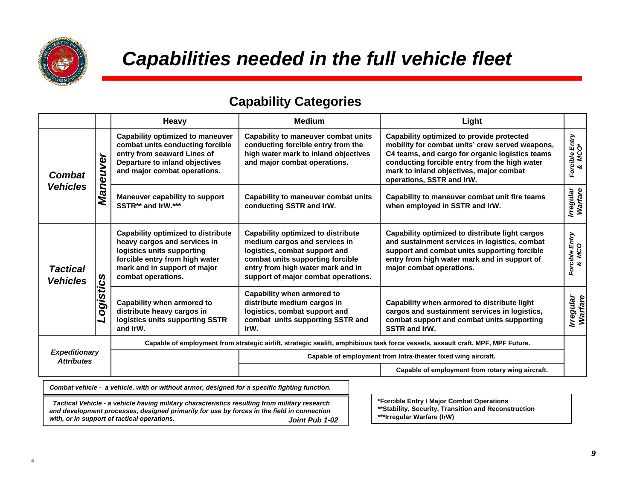

*with, or in support of tactical operations.* 

#### *Capabilities needed in the full vehicle fleet*

#### **Capability Categories**

|                                                                                                                                                                                                                                                                                                   |           | Heavy                                                                                                                                                                                           | <b>Medium</b>                                                                                                                                                                                                               | Light                                                                                                                                                                                                                                                                    |                             |
|---------------------------------------------------------------------------------------------------------------------------------------------------------------------------------------------------------------------------------------------------------------------------------------------------|-----------|-------------------------------------------------------------------------------------------------------------------------------------------------------------------------------------------------|-----------------------------------------------------------------------------------------------------------------------------------------------------------------------------------------------------------------------------|--------------------------------------------------------------------------------------------------------------------------------------------------------------------------------------------------------------------------------------------------------------------------|-----------------------------|
| <b>Combat</b><br><b>Vehicles</b>                                                                                                                                                                                                                                                                  | Maneuver  | <b>Capability optimized to maneuver</b><br>combat units conducting forcible<br>entry from seaward Lines of<br>Departure to inland objectives<br>and major combat operations.                    | Capability to maneuver combat units<br>conducting forcible entry from the<br>high water mark to inland objectives<br>and major combat operations.                                                                           | Capability optimized to provide protected<br>mobility for combat units' crew served weapons,<br>C4 teams, and cargo for organic logistics teams<br>conducting forcible entry from the high water<br>mark to inland objectives, major combat<br>operations, SSTR and IrW. | Forcible Entry<br>& MCO*    |
|                                                                                                                                                                                                                                                                                                   |           | Maneuver capability to support<br>SSTR** and IrW.***                                                                                                                                            | Capability to maneuver combat units<br>conducting SSTR and IrW.                                                                                                                                                             | Capability to maneuver combat unit fire teams<br>when employed in SSTR and IrW.                                                                                                                                                                                          | Irregular<br>Warfare        |
| <b>Tactical</b><br><b>Vehicles</b>                                                                                                                                                                                                                                                                | Logistics | <b>Capability optimized to distribute</b><br>heavy cargos and services in<br>logistics units supporting<br>forcible entry from high water<br>mark and in support of major<br>combat operations. | <b>Capability optimized to distribute</b><br>medium cargos and services in<br>logistics, combat support and<br>combat units supporting forcible<br>entry from high water mark and in<br>support of major combat operations. | Capability optimized to distribute light cargos<br>and sustainment services in logistics, combat<br>support and combat units supporting forcible<br>entry from high water mark and in support of<br>major combat operations.                                             | Forcible Entry<br>& MCO     |
|                                                                                                                                                                                                                                                                                                   |           | Capability when armored to<br>distribute heavy cargos in<br>logistics units supporting SSTR<br>and IrW.                                                                                         | Capability when armored to<br>distribute medium cargos in<br>logistics, combat support and<br>combat units supporting SSTR and<br>IrW.                                                                                      | Capability when armored to distribute light<br>cargos and sustainment services in logistics,<br>combat support and combat units supporting<br><b>SSTR and IrW.</b>                                                                                                       | <b>Irregular</b><br>Warfare |
| <b>Expeditionary</b><br><b>Attributes</b>                                                                                                                                                                                                                                                         |           | Capable of employment from strategic airlift, strategic sealift, amphibious task force vessels, assault craft, MPF, MPF Future.                                                                 |                                                                                                                                                                                                                             |                                                                                                                                                                                                                                                                          |                             |
|                                                                                                                                                                                                                                                                                                   |           |                                                                                                                                                                                                 | Capable of employment from Intra-theater fixed wing aircraft.                                                                                                                                                               |                                                                                                                                                                                                                                                                          |                             |
|                                                                                                                                                                                                                                                                                                   |           |                                                                                                                                                                                                 |                                                                                                                                                                                                                             | Capable of employment from rotary wing aircraft.                                                                                                                                                                                                                         |                             |
| Combat vehicle - a vehicle, with or without armor, designed for a specific fighting function.                                                                                                                                                                                                     |           |                                                                                                                                                                                                 |                                                                                                                                                                                                                             |                                                                                                                                                                                                                                                                          |                             |
| *Forcible Entry / Major Combat Operations<br>Tactical Vehicle - a vehicle having military characteristics resulting from military research<br>** Stability, Security, Transition and Reconstruction<br>and development processes, designed primarily for use by forces in the field in connection |           |                                                                                                                                                                                                 |                                                                                                                                                                                                                             |                                                                                                                                                                                                                                                                          |                             |

Joint Pub 1-02

**\*\*\*Irregular Warfare (IrW)**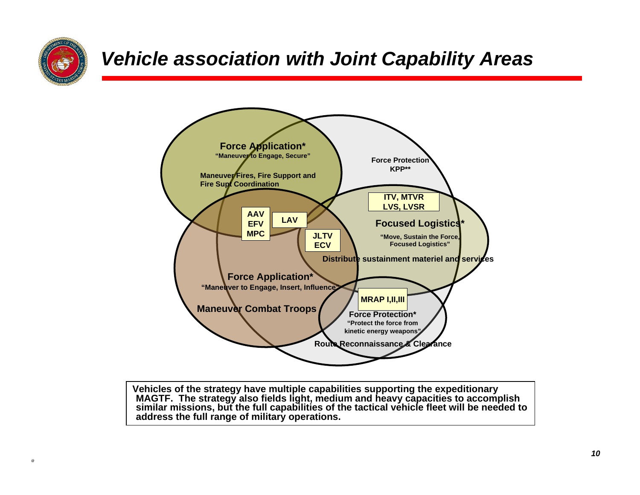

#### *Vehicle association with Joint Capability Areas*



**Vehicles of the strategy have multiple capabilities supporting the expeditionary MAGTF. The strategy also fields light, medium and heavy capacities to accomplish similar missions, but the full capabilities of the tactical vehicle fleet will be needed to address the full range of military operations.**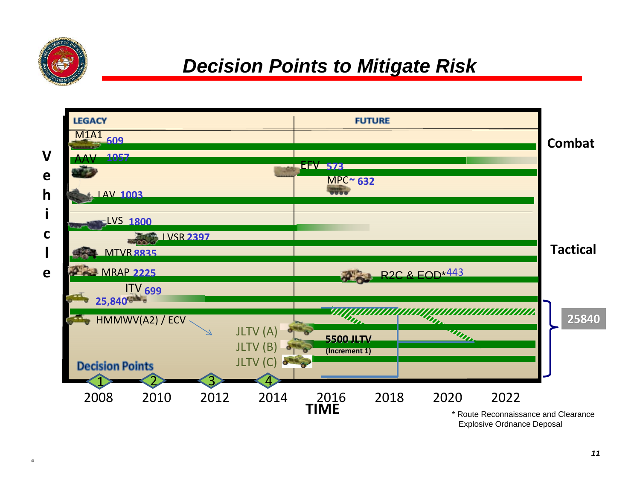

#### *Decision Points to Mitigate Risk*

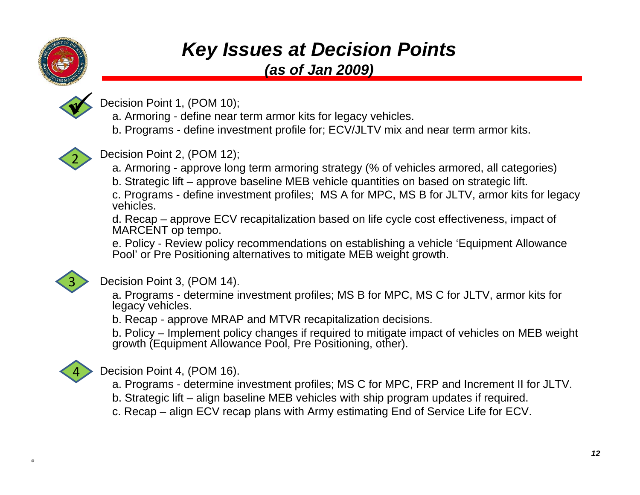

### *Key Issues at Decision Points*

*(as of Jan 2009)*



- Decision Point 1, (POM 10);
- a. Armoring define near term armor kits for legacy vehicles.
- b. Programs define investment profile for; ECV/JLTV mix and near term armor kits.



Decision Point 2, (POM 12);

a. Armoring - approve long term armoring strategy (% of vehicles armored, all categories)

b. Strategic lift – approve baseline MEB vehicle quantities on based on strategic lift.

c. Programs - define investment profiles; MS A for MPC, MS B for JLTV, armor kits for legacy vehicles.

d. Recap – approve ECV recapitalization based on life cycle cost effectiveness, impact of MARCENT op tempo.

e. Policy - Review policy recommendations on establishing a vehicle 'Equipment Allowance Pool' or Pre Positioning alternatives to mitigate MEB weight growth.



#### Decision Point 3, (POM 14).

a. Programs - determine investment profiles; MS B for MPC, MS C for JLTV, armor kits for legacy vehicles.

b. Recap - approve MRAP and MTVR recapitalization decisions.

b. Policy – Implement policy changes if required to mitigate impact of vehicles on MEB weight growth (Equipment Allowance Pool, Pre Positioning, other).



Decision Point 4, (POM 16).

- a. Programs determine investment profiles; MS C for MPC, FRP and Increment II for JLTV.
- b. Strategic lift align baseline MEB vehicles with ship program updates if required.
- c. Recap align ECV recap plans with Army estimating End of Service Life for ECV.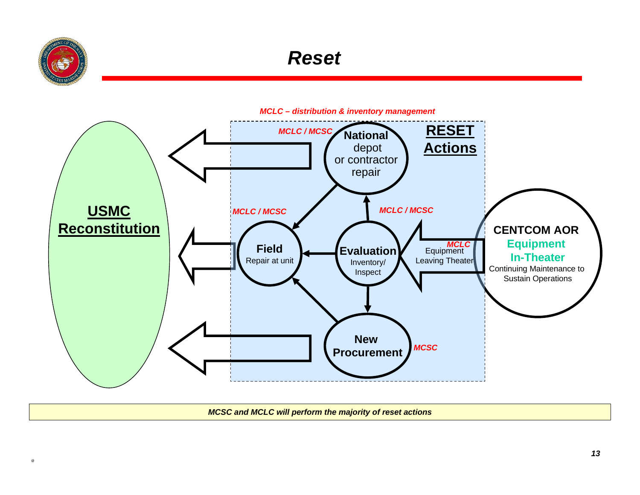

#### *Reset*



*MCSC and MCLC will perform the majority of reset actions*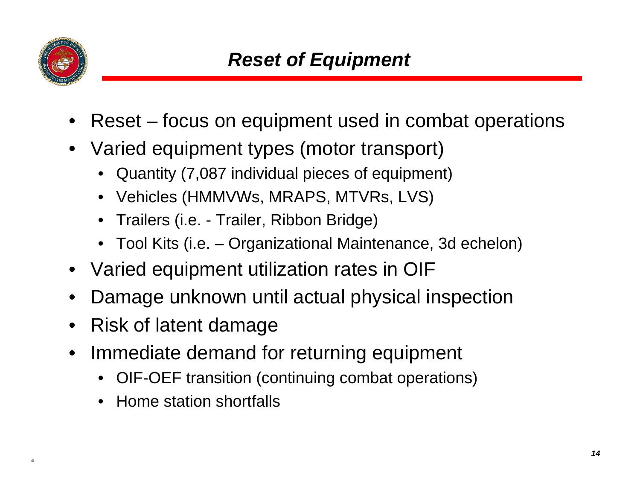

- Reset focus on equipment used in combat operations
- Varied equipment types (motor transport)
	- Quantity (7,087 individual pieces of equipment)
	- Vehicles (HMMVWs, MRAPS, MTVRs, LVS)
	- Trailers (i.e. Trailer, Ribbon Bridge)
	- Tool Kits (i.e. Organizational Maintenance, 3d echelon)
- Varied equipment utilization rates in OIF
- Damage unknown until actual physical inspection
- Risk of latent damage
- Immediate demand for returning equipment
	- OIF-OEF transition (continuing combat operations)
	- Home station shortfalls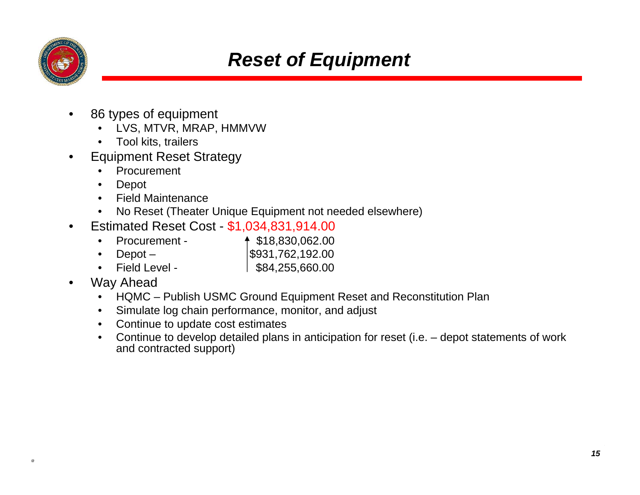

#### *Reset of Equipment*

- 86 types of equipment
	- LVS, MTVR, MRAP, HMMVW
	- Tool kits, trailers
- Equipment Reset Strategy
	- **Procurement**
	- Depot
	- Field Maintenance
	- No Reset (Theater Unique Equipment not needed elsewhere)
	- Estimated Reset Cost \$1,034,831,914.00
		- Procurement  $\uparrow$  \$18,830,062.00
		- $\text{Depot}$   $\qquad$   $\qquad$   $\qquad$   $\qquad$   $\qquad$   $\qquad$   $\qquad$   $\qquad$   $\qquad$   $\qquad$   $\qquad$   $\qquad$   $\qquad$   $\qquad$   $\qquad$   $\qquad$   $\qquad$   $\qquad$   $\qquad$   $\qquad$   $\qquad$   $\qquad$   $\qquad$   $\qquad$   $\qquad$   $\qquad$   $\qquad$   $\qquad$   $\qquad$   $\qquad$   $\qquad$   $\qquad$   $\qquad$   $\qquad$   $\qquad$
		- Field Level  $\vert$  \$84,255,660.00
- Way Ahead
	- HQMC Publish USMC Ground Equipment Reset and Reconstitution Plan
	- Simulate log chain performance, monitor, and adjust
	- Continue to update cost estimates
	- Continue to develop detailed plans in anticipation for reset (i.e. depot statements of work and contracted support)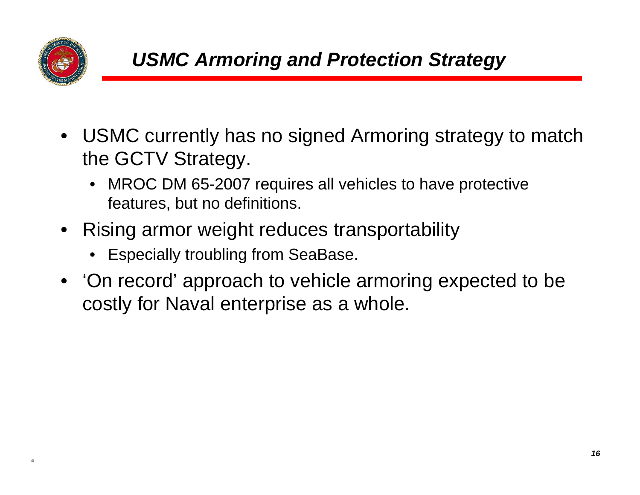

- USMC currently has no signed Armoring strategy to match the GCTV Strategy.
	- MROC DM 65-2007 requires all vehicles to have protective features, but no definitions.
- Rising armor weight reduces transportability
	- Especially troubling from SeaBase.
- 'On record' approach to vehicle armoring expected to be costly for Naval enterprise as a whole.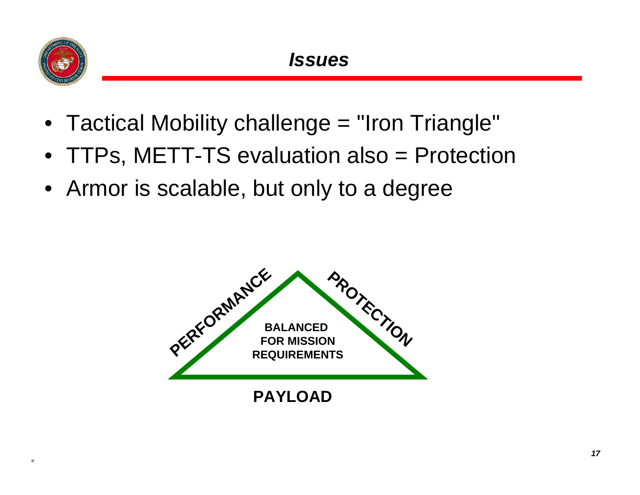

- Tactical Mobility challenge = "Iron Triangle"
- TTPs, METT-TS evaluation also = Protection
- Armor is scalable, but only to a degree

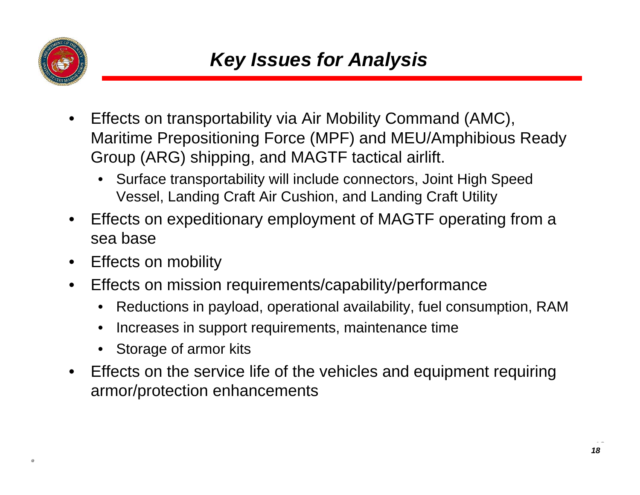

- Effects on transportability via Air Mobility Command (AMC), Maritime Prepositioning Force (MPF) and MEU/Amphibious Ready Group (ARG) shipping, and MAGTF tactical airlift.
	- Surface transportability will include connectors, Joint High Speed Vessel, Landing Craft Air Cushion, and Landing Craft Utility
- Effects on expeditionary employment of MAGTF operating from a sea base
- Effects on mobility
- Effects on mission requirements/capability/performance
	- Reductions in payload, operational availability, fuel consumption, RAM
	- Increases in support requirements, maintenance time
	- Storage of armor kits
- Effects on the service life of the vehicles and equipment requiring armor/protection enhancements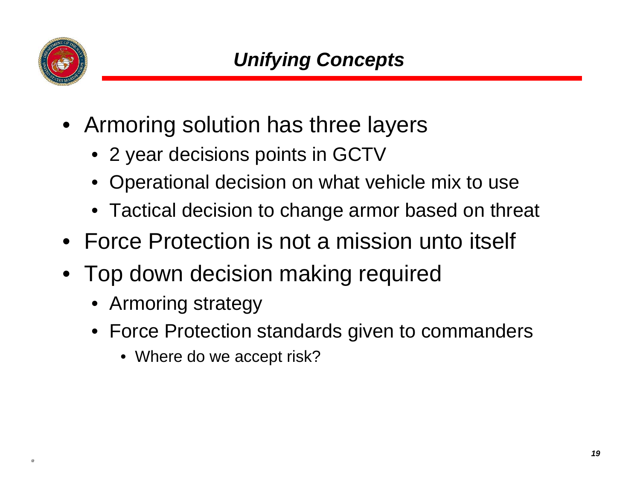

- Armoring solution has three layers
	- 2 year decisions points in GCTV
	- Operational decision on what vehicle mix to use
	- Tactical decision to change armor based on threat
- Force Protection is not a mission unto itself
- Top down decision making required
	- Armoring strategy
	- Force Protection standards given to commanders
		- Where do we accept risk?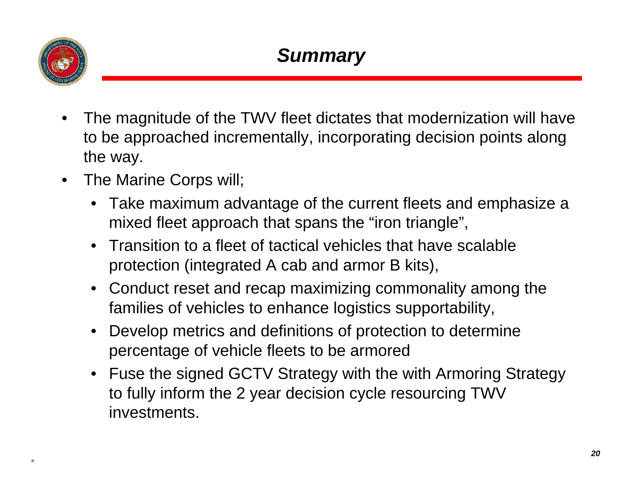

- The magnitude of the TWV fleet dictates that modernization will have to be approached incrementally, incorporating decision points along the way.
- The Marine Corps will;
	- Take maximum advantage of the current fleets and emphasize a mixed fleet approach that spans the "iron triangle",
	- Transition to a fleet of tactical vehicles that have scalable protection (integrated A cab and armor B kits),
	- Conduct reset and recap maximizing commonality among the families of vehicles to enhance logistics supportability,
	- Develop metrics and definitions of protection to determine percentage of vehicle fleets to be armored
	- Fuse the signed GCTV Strategy with the with Armoring Strategy to fully inform the 2 year decision cycle resourcing TWV investments.